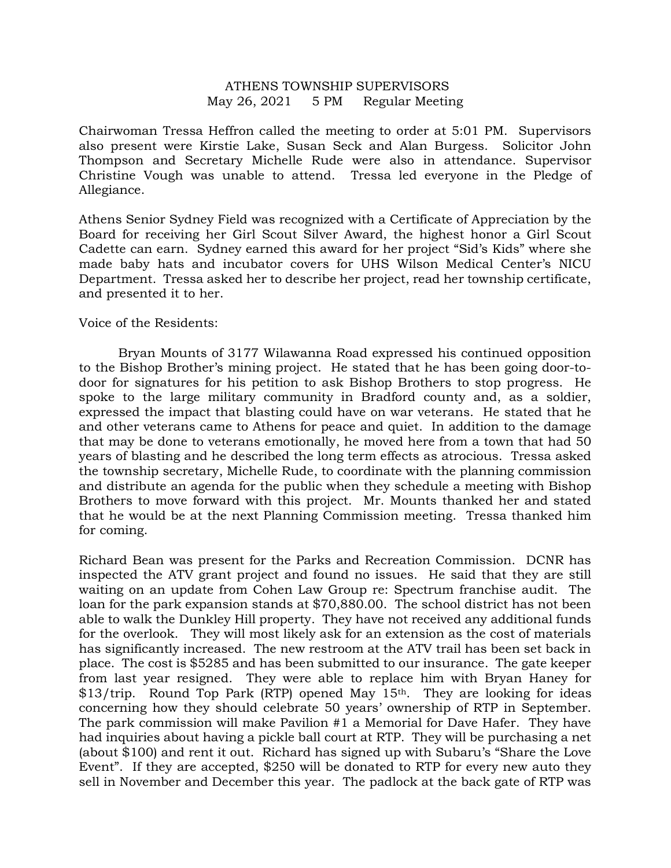## ATHENS TOWNSHIP SUPERVISORS May 26, 2021 5 PM Regular Meeting

Chairwoman Tressa Heffron called the meeting to order at 5:01 PM. Supervisors also present were Kirstie Lake, Susan Seck and Alan Burgess. Solicitor John Thompson and Secretary Michelle Rude were also in attendance. Supervisor Christine Vough was unable to attend. Tressa led everyone in the Pledge of Allegiance.

Athens Senior Sydney Field was recognized with a Certificate of Appreciation by the Board for receiving her Girl Scout Silver Award, the highest honor a Girl Scout Cadette can earn. Sydney earned this award for her project "Sid's Kids" where she made baby hats and incubator covers for UHS Wilson Medical Center's NICU Department. Tressa asked her to describe her project, read her township certificate, and presented it to her.

## Voice of the Residents:

 Bryan Mounts of 3177 Wilawanna Road expressed his continued opposition to the Bishop Brother's mining project. He stated that he has been going door-todoor for signatures for his petition to ask Bishop Brothers to stop progress. He spoke to the large military community in Bradford county and, as a soldier, expressed the impact that blasting could have on war veterans. He stated that he and other veterans came to Athens for peace and quiet. In addition to the damage that may be done to veterans emotionally, he moved here from a town that had 50 years of blasting and he described the long term effects as atrocious. Tressa asked the township secretary, Michelle Rude, to coordinate with the planning commission and distribute an agenda for the public when they schedule a meeting with Bishop Brothers to move forward with this project. Mr. Mounts thanked her and stated that he would be at the next Planning Commission meeting. Tressa thanked him for coming.

Richard Bean was present for the Parks and Recreation Commission. DCNR has inspected the ATV grant project and found no issues. He said that they are still waiting on an update from Cohen Law Group re: Spectrum franchise audit. The loan for the park expansion stands at \$70,880.00. The school district has not been able to walk the Dunkley Hill property. They have not received any additional funds for the overlook. They will most likely ask for an extension as the cost of materials has significantly increased. The new restroom at the ATV trail has been set back in place. The cost is \$5285 and has been submitted to our insurance. The gate keeper from last year resigned. They were able to replace him with Bryan Haney for \$13/trip. Round Top Park (RTP) opened May 15<sup>th</sup>. They are looking for ideas concerning how they should celebrate 50 years' ownership of RTP in September. The park commission will make Pavilion #1 a Memorial for Dave Hafer. They have had inquiries about having a pickle ball court at RTP. They will be purchasing a net (about \$100) and rent it out. Richard has signed up with Subaru's "Share the Love Event". If they are accepted, \$250 will be donated to RTP for every new auto they sell in November and December this year. The padlock at the back gate of RTP was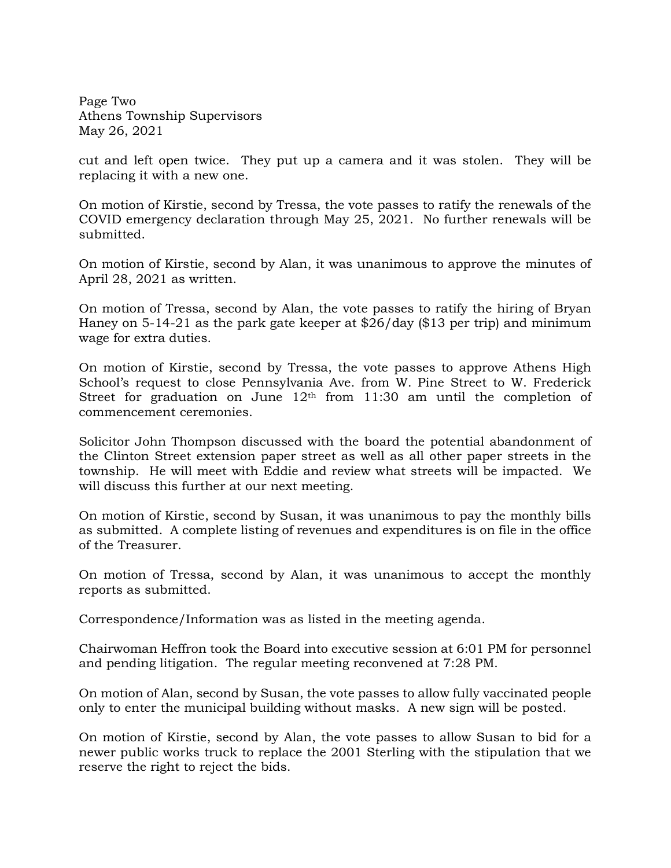Page Two Athens Township Supervisors May 26, 2021

cut and left open twice. They put up a camera and it was stolen. They will be replacing it with a new one.

On motion of Kirstie, second by Tressa, the vote passes to ratify the renewals of the COVID emergency declaration through May 25, 2021. No further renewals will be submitted.

On motion of Kirstie, second by Alan, it was unanimous to approve the minutes of April 28, 2021 as written.

On motion of Tressa, second by Alan, the vote passes to ratify the hiring of Bryan Haney on 5-14-21 as the park gate keeper at \$26/day (\$13 per trip) and minimum wage for extra duties.

On motion of Kirstie, second by Tressa, the vote passes to approve Athens High School's request to close Pennsylvania Ave. from W. Pine Street to W. Frederick Street for graduation on June 12<sup>th</sup> from 11:30 am until the completion of commencement ceremonies.

Solicitor John Thompson discussed with the board the potential abandonment of the Clinton Street extension paper street as well as all other paper streets in the township. He will meet with Eddie and review what streets will be impacted. We will discuss this further at our next meeting.

On motion of Kirstie, second by Susan, it was unanimous to pay the monthly bills as submitted. A complete listing of revenues and expenditures is on file in the office of the Treasurer.

On motion of Tressa, second by Alan, it was unanimous to accept the monthly reports as submitted.

Correspondence/Information was as listed in the meeting agenda.

Chairwoman Heffron took the Board into executive session at 6:01 PM for personnel and pending litigation. The regular meeting reconvened at 7:28 PM.

On motion of Alan, second by Susan, the vote passes to allow fully vaccinated people only to enter the municipal building without masks. A new sign will be posted.

On motion of Kirstie, second by Alan, the vote passes to allow Susan to bid for a newer public works truck to replace the 2001 Sterling with the stipulation that we reserve the right to reject the bids.